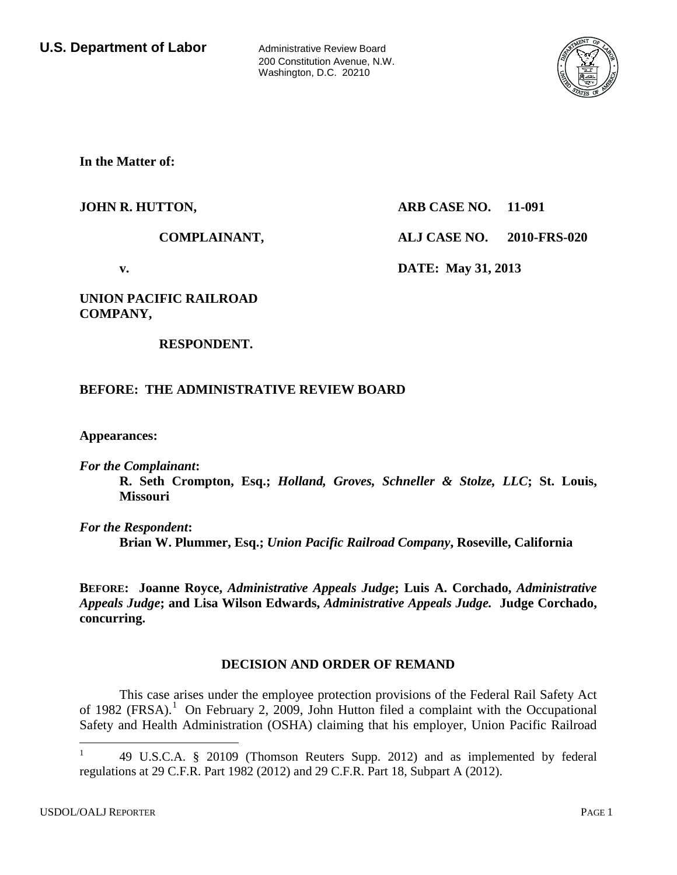200 Constitution Avenue, N.W. Washington, D.C. 20210



**In the Matter of:**

### **JOHN R. HUTTON, ARB CASE NO. 11-091**

**COMPLAINANT, ALJ CASE NO. 2010-FRS-020**

**v. DATE: May 31, 2013**

### **UNION PACIFIC RAILROAD COMPANY,**

### **RESPONDENT.**

## **BEFORE: THE ADMINISTRATIVE REVIEW BOARD**

**Appearances:**

*For the Complainant***:**

**R. Seth Crompton, Esq.;** *Holland, Groves, Schneller & Stolze, LLC***; St. Louis, Missouri**

*For the Respondent***:**

**Brian W. Plummer, Esq.;** *Union Pacific Railroad Company***, Roseville, California**

**BEFORE: Joanne Royce,** *Administrative Appeals Judge***; Luis A. Corchado,** *Administrative Appeals Judge***; and Lisa Wilson Edwards,** *Administrative Appeals Judge.* **Judge Corchado, concurring.**

### **DECISION AND ORDER OF REMAND**

This case arises under the employee protection provisions of the Federal Rail Safety Act of [1](#page-1-0)982 (FRSA).<sup>1</sup> On February 2, 2009, John Hutton filed a complaint with the Occupational Safety and Health Administration (OSHA) claiming that his employer, Union Pacific Railroad

<sup>1</sup> 49 U.S.C.A. § 20109 (Thomson Reuters Supp. 2012) and as implemented by federal regulations at 29 C.F.R. Part 1982 (2012) and 29 C.F.R. Part 18, Subpart A (2012).  $\mathbf{1}$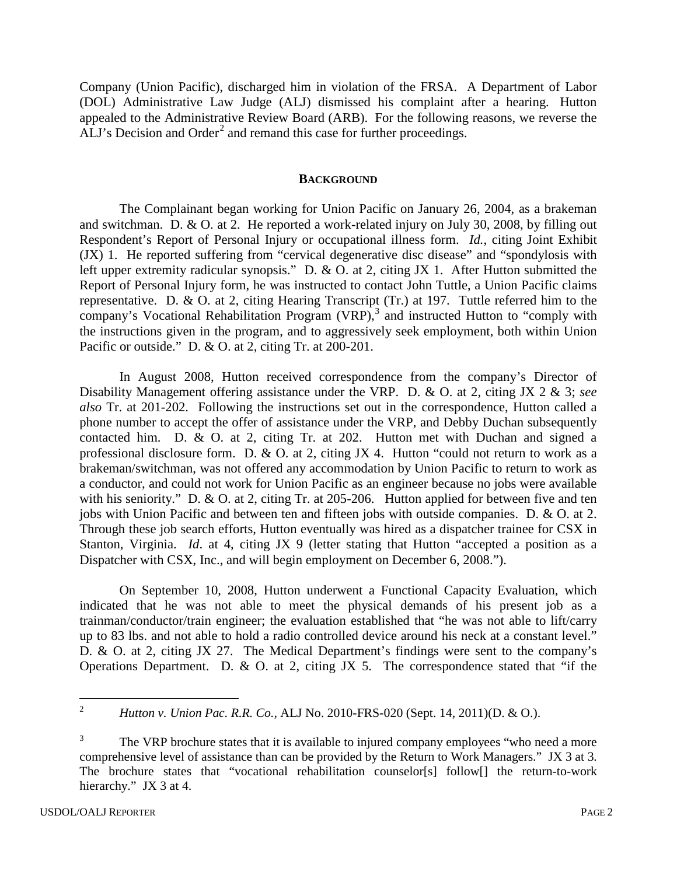Company (Union Pacific), discharged him in violation of the FRSA. A Department of Labor (DOL) Administrative Law Judge (ALJ) dismissed his complaint after a hearing. Hutton appealed to the Administrative Review Board (ARB). For the following reasons, we reverse the ALJ's Decision and Order<sup>[2](#page-1-1)</sup> and remand this case for further proceedings.

#### **BACKGROUND**

The Complainant began working for Union Pacific on January 26, 2004, as a brakeman and switchman. D. & O. at 2. He reported a work-related injury on July 30, 2008, by filling out Respondent's Report of Personal Injury or occupational illness form. *Id.*, citing Joint Exhibit (JX) 1. He reported suffering from "cervical degenerative disc disease" and "spondylosis with left upper extremity radicular synopsis." D. & O. at 2, citing JX 1. After Hutton submitted the Report of Personal Injury form, he was instructed to contact John Tuttle, a Union Pacific claims representative. D. & O. at 2, citing Hearing Transcript (Tr.) at 197. Tuttle referred him to the company's Vocational Rehabilitation Program  $(VRP)$ ,<sup>[3](#page-1-2)</sup> and instructed Hutton to "comply with the instructions given in the program, and to aggressively seek employment, both within Union Pacific or outside." D. & O. at 2, citing Tr. at 200-201.

In August 2008, Hutton received correspondence from the company's Director of Disability Management offering assistance under the VRP. D. & O. at 2, citing JX 2 & 3; *see also* Tr. at 201-202. Following the instructions set out in the correspondence, Hutton called a phone number to accept the offer of assistance under the VRP, and Debby Duchan subsequently contacted him. D. & O. at 2, citing Tr. at 202. Hutton met with Duchan and signed a professional disclosure form. D. & O. at 2, citing JX 4. Hutton "could not return to work as a brakeman/switchman, was not offered any accommodation by Union Pacific to return to work as a conductor, and could not work for Union Pacific as an engineer because no jobs were available with his seniority." D. & O. at 2, citing Tr. at 205-206. Hutton applied for between five and ten jobs with Union Pacific and between ten and fifteen jobs with outside companies. D. & O. at 2. Through these job search efforts, Hutton eventually was hired as a dispatcher trainee for CSX in Stanton, Virginia. *Id*. at 4, citing JX 9 (letter stating that Hutton "accepted a position as a Dispatcher with CSX, Inc., and will begin employment on December 6, 2008.").

On September 10, 2008, Hutton underwent a Functional Capacity Evaluation, which indicated that he was not able to meet the physical demands of his present job as a trainman/conductor/train engineer; the evaluation established that "he was not able to lift/carry up to 83 lbs. and not able to hold a radio controlled device around his neck at a constant level." D. & O. at 2, citing JX 27. The Medical Department's findings were sent to the company's Operations Department. D. & O. at 2, citing JX 5. The correspondence stated that "if the

<span id="page-1-1"></span><span id="page-1-0"></span><sup>2</sup> *Hutton v. Union Pac. R.R. Co.,* ALJ No. 2010-FRS-020 (Sept. 14, 2011)(D. & O.).  $\overline{2}$ 

<span id="page-1-2"></span>The VRP brochure states that it is available to injured company employees "who need a more comprehensive level of assistance than can be provided by the Return to Work Managers." JX 3 at 3. The brochure states that "vocational rehabilitation counselor[s] follow[] the return-to-work hierarchy." JX 3 at 4.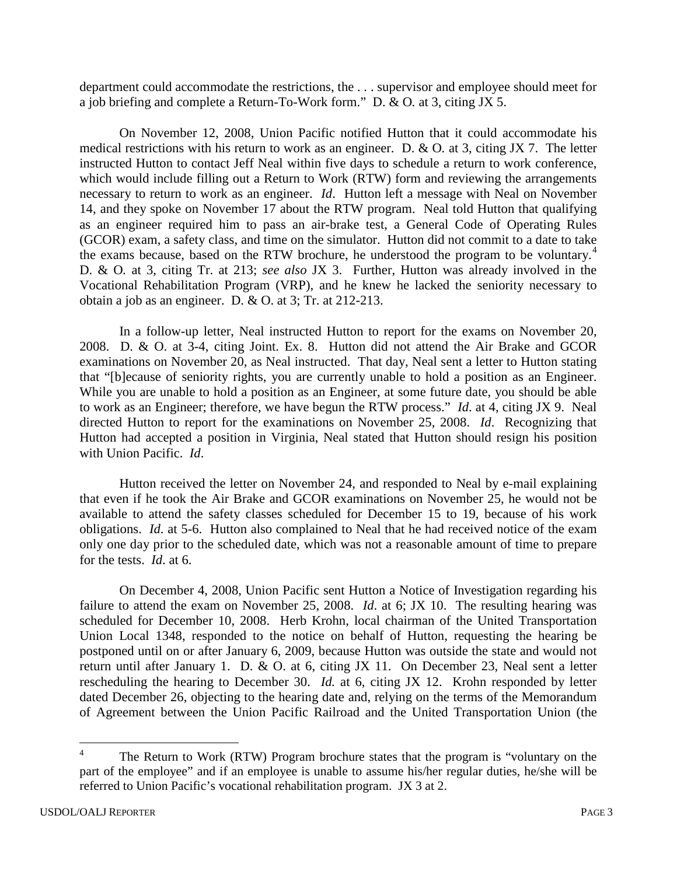department could accommodate the restrictions, the . . . supervisor and employee should meet for a job briefing and complete a Return-To-Work form." D. & O*.* at 3, citing JX 5.

On November 12, 2008, Union Pacific notified Hutton that it could accommodate his medical restrictions with his return to work as an engineer. D. & O*.* at 3, citing JX 7. The letter instructed Hutton to contact Jeff Neal within five days to schedule a return to work conference, which would include filling out a Return to Work (RTW) form and reviewing the arrangements necessary to return to work as an engineer. *Id*. Hutton left a message with Neal on November 14, and they spoke on November 17 about the RTW program. Neal told Hutton that qualifying as an engineer required him to pass an air-brake test, a General Code of Operating Rules (GCOR) exam, a safety class, and time on the simulator. Hutton did not commit to a date to take the exams because, based on the RTW brochure, he understood the program to be voluntary.<sup>[4](#page-2-0)</sup> D. & O*.* at 3, citing Tr. at 213; *see also* JX 3. Further, Hutton was already involved in the Vocational Rehabilitation Program (VRP), and he knew he lacked the seniority necessary to obtain a job as an engineer. D. & O. at 3; Tr. at 212-213.

In a follow-up letter, Neal instructed Hutton to report for the exams on November 20, 2008. D. & O. at 3-4, citing Joint. Ex. 8. Hutton did not attend the Air Brake and GCOR examinations on November 20, as Neal instructed. That day, Neal sent a letter to Hutton stating that "[b]ecause of seniority rights, you are currently unable to hold a position as an Engineer. While you are unable to hold a position as an Engineer, at some future date, you should be able to work as an Engineer; therefore, we have begun the RTW process." *Id*. at 4, citing JX 9. Neal directed Hutton to report for the examinations on November 25, 2008. *Id*. Recognizing that Hutton had accepted a position in Virginia, Neal stated that Hutton should resign his position with Union Pacific. *Id*.

Hutton received the letter on November 24, and responded to Neal by e-mail explaining that even if he took the Air Brake and GCOR examinations on November 25, he would not be available to attend the safety classes scheduled for December 15 to 19, because of his work obligations. *Id*. at 5-6. Hutton also complained to Neal that he had received notice of the exam only one day prior to the scheduled date, which was not a reasonable amount of time to prepare for the tests. *Id*. at 6.

On December 4, 2008, Union Pacific sent Hutton a Notice of Investigation regarding his failure to attend the exam on November 25, 2008. *Id*. at 6; JX 10. The resulting hearing was scheduled for December 10, 2008. Herb Krohn, local chairman of the United Transportation Union Local 1348, responded to the notice on behalf of Hutton, requesting the hearing be postponed until on or after January 6, 2009, because Hutton was outside the state and would not return until after January 1. D. & O. at 6, citing JX 11. On December 23, Neal sent a letter rescheduling the hearing to December 30. *Id.* at 6, citing JX 12. Krohn responded by letter dated December 26, objecting to the hearing date and, relying on the terms of the Memorandum of Agreement between the Union Pacific Railroad and the United Transportation Union (the

<span id="page-2-0"></span>The Return to Work (RTW) Program brochure states that the program is "voluntary on the part of the employee" and if an employee is unable to assume his/her regular duties, he/she will be referred to Union Pacific's vocational rehabilitation program. JX 3 at 2.  $\overline{4}$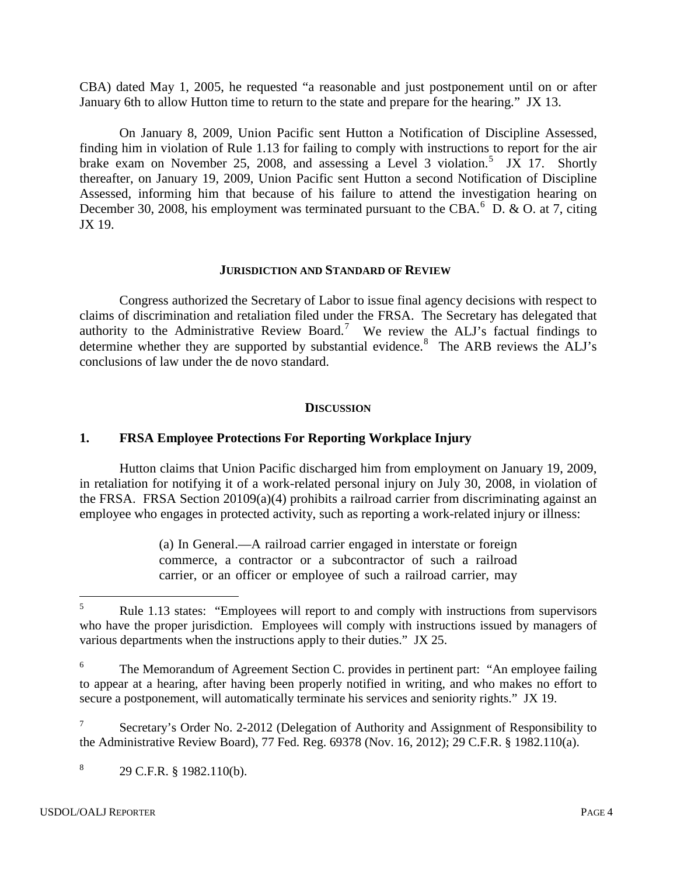CBA) dated May 1, 2005, he requested "a reasonable and just postponement until on or after January 6th to allow Hutton time to return to the state and prepare for the hearing." JX 13.

On January 8, 2009, Union Pacific sent Hutton a Notification of Discipline Assessed, finding him in violation of Rule 1.13 for failing to comply with instructions to report for the air brake exam on November 2[5](#page-3-0), 2008, and assessing a Level 3 violation.<sup>5</sup> JX 17. Shortly thereafter, on January 19, 2009, Union Pacific sent Hutton a second Notification of Discipline Assessed, informing him that because of his failure to attend the investigation hearing on December 30, 2008, his employment was terminated pursuant to the CBA.  $6\,$  $6\,$  D. & O. at 7, citing JX 19.

#### **JURISDICTION AND STANDARD OF REVIEW**

Congress authorized the Secretary of Labor to issue final agency decisions with respect to claims of discrimination and retaliation filed under the FRSA. The Secretary has delegated that authority to the Administrative Review Board.<sup>[7](#page-3-2)</sup> We review the ALJ's factual findings to determine whether they are supported by substantial evidence.<sup>[8](#page-3-3)</sup> The ARB reviews the ALJ's conclusions of law under the de novo standard.

### **DISCUSSION**

## **1. FRSA Employee Protections For Reporting Workplace Injury**

Hutton claims that Union Pacific discharged him from employment on January 19, 2009, in retaliation for notifying it of a work-related personal injury on July 30, 2008, in violation of the FRSA. FRSA Section 20109(a)(4) prohibits a railroad carrier from discriminating against an employee who engages in protected activity, such as reporting a work-related injury or illness:

> (a) In General.—A railroad carrier engaged in interstate or foreign commerce, a contractor or a subcontractor of such a railroad carrier, or an officer or employee of such a railroad carrier, may

<span id="page-3-3"></span> $8$  29 C.F.R. § 1982.110(b).

<span id="page-3-0"></span><sup>5</sup> Rule 1.13 states: "Employees will report to and comply with instructions from supervisors who have the proper jurisdiction. Employees will comply with instructions issued by managers of various departments when the instructions apply to their duties." JX 25. 5

<span id="page-3-1"></span><sup>&</sup>lt;sup>6</sup> The Memorandum of Agreement Section C. provides in pertinent part: "An employee failing to appear at a hearing, after having been properly notified in writing, and who makes no effort to secure a postponement, will automatically terminate his services and seniority rights." JX 19.

<span id="page-3-2"></span>Secretary's Order No. 2-2012 (Delegation of Authority and Assignment of Responsibility to the Administrative Review Board), 77 Fed. Reg. 69378 (Nov. 16, 2012); 29 C.F.R. § 1982.110(a).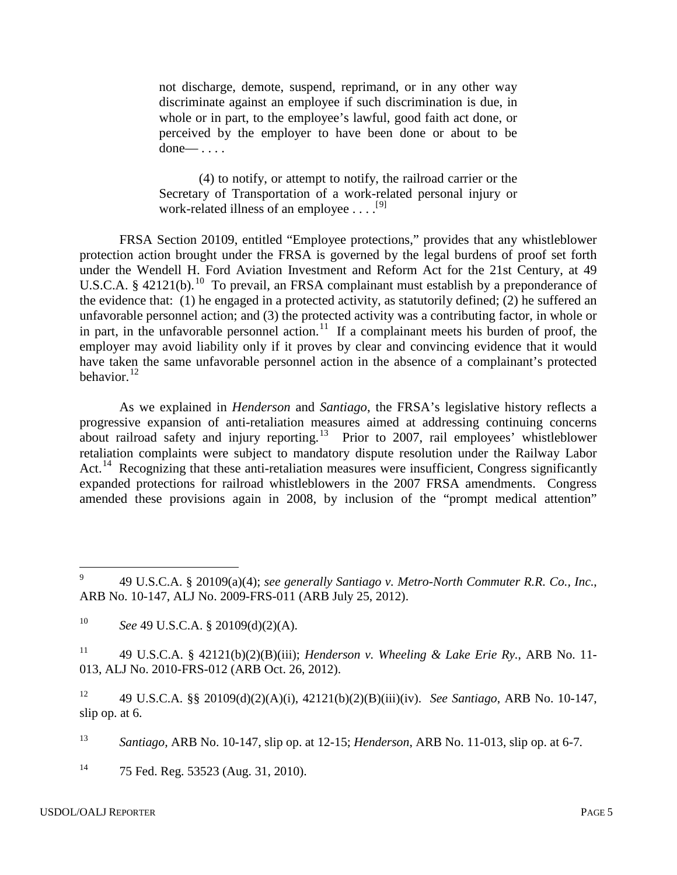not discharge, demote, suspend, reprimand, or in any other way discriminate against an employee if such discrimination is due, in whole or in part, to the employee's lawful, good faith act done, or perceived by the employer to have been done or about to be done— . . . .

(4) to notify, or attempt to notify, the railroad carrier or the Secretary of Transportation of a work-related personal injury or work-related illness of an employee  $\dots$ <sup>[[9](#page-4-0)]</sup>

FRSA Section 20109, entitled "Employee protections," provides that any whistleblower protection action brought under the FRSA is governed by the legal burdens of proof set forth under the Wendell H. Ford Aviation Investment and Reform Act for the 21st Century, at 49 U.S.C.A. § 42121(b).<sup>[10](#page-4-1)</sup> To prevail, an FRSA complainant must establish by a preponderance of the evidence that: (1) he engaged in a protected activity, as statutorily defined; (2) he suffered an unfavorable personnel action; and (3) the protected activity was a contributing factor, in whole or in part, in the unfavorable personnel action.<sup>[11](#page-4-2)</sup> If a complainant meets his burden of proof, the employer may avoid liability only if it proves by clear and convincing evidence that it would have taken the same unfavorable personnel action in the absence of a complainant's protected behavior. $^{12}$  $^{12}$  $^{12}$ 

As we explained in *Henderson* and *Santiago*, the FRSA's legislative history reflects a progressive expansion of anti-retaliation measures aimed at addressing continuing concerns about railroad safety and injury reporting.<sup>[13](#page-4-4)</sup> Prior to 2007, rail employees' whistleblower retaliation complaints were subject to mandatory dispute resolution under the Railway Labor Act.<sup>[14](#page-5-0)</sup> Recognizing that these anti-retaliation measures were insufficient, Congress significantly expanded protections for railroad whistleblowers in the 2007 FRSA amendments. Congress amended these provisions again in 2008, by inclusion of the "prompt medical attention"

<span id="page-4-1"></span><sup>11</sup> 49 U.S.C.A. § 42121(b)(2)(B)(iii); *Henderson v. Wheeling & Lake Erie Ry.*, ARB No. 11-013, ALJ No. 2010-FRS-012 (ARB Oct. 26, 2012).

<span id="page-4-2"></span><sup>12</sup> 49 U.S.C.A. §§ 20109(d)(2)(A)(i), 42121(b)(2)(B)(iii)(iv). *See Santiago*, ARB No. 10-147, slip op. at 6.

<span id="page-4-3"></span><sup>13</sup> *Santiago,* ARB No. 10-147, slip op. at 12-15; *Henderson*, ARB No. 11-013, slip op. at 6-7.

<span id="page-4-4"></span> $14$ 75 Fed. Reg. 53523 (Aug. 31, 2010).

 $\overline{a}$ 

<sup>9</sup> 49 U.S.C.A. § 20109(a)(4); *see generally Santiago v. Metro-North Commuter R.R. Co., Inc.*, ARB No. 10-147, ALJ No. 2009-FRS-011 (ARB July 25, 2012).

<span id="page-4-0"></span><sup>10</sup> *See* 49 U.S.C.A. § 20109(d)(2)(A).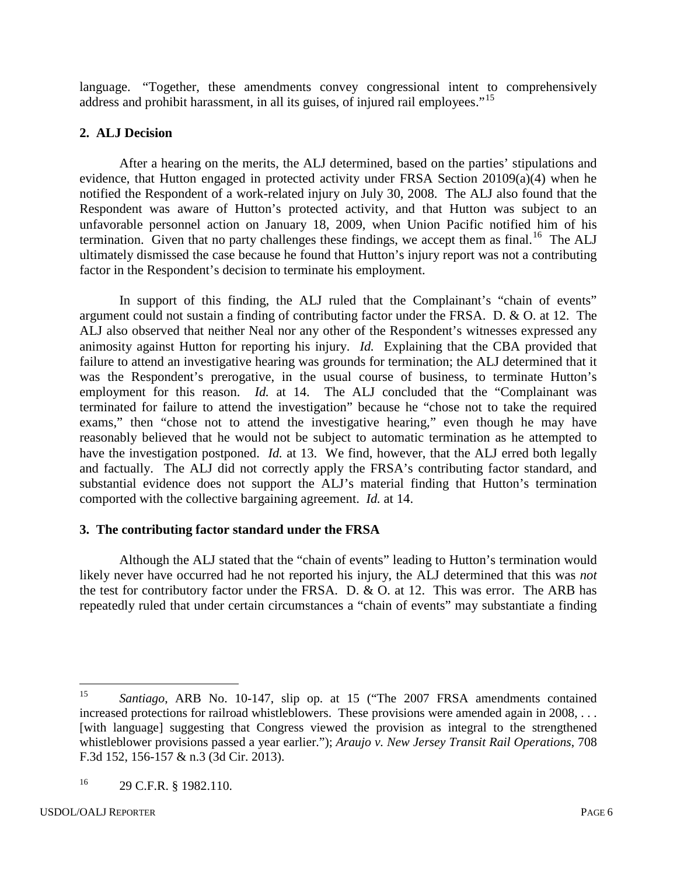language. "Together, these amendments convey congressional intent to comprehensively address and prohibit harassment, in all its guises, of injured rail employees."<sup>[15](#page-5-1)</sup>

## **2. ALJ Decision**

After a hearing on the merits, the ALJ determined, based on the parties' stipulations and evidence, that Hutton engaged in protected activity under FRSA Section 20109(a)(4) when he notified the Respondent of a work-related injury on July 30, 2008. The ALJ also found that the Respondent was aware of Hutton's protected activity, and that Hutton was subject to an unfavorable personnel action on January 18, 2009, when Union Pacific notified him of his termination. Given that no party challenges these findings, we accept them as final.<sup>[16](#page-5-2)</sup> The ALJ ultimately dismissed the case because he found that Hutton's injury report was not a contributing factor in the Respondent's decision to terminate his employment.

In support of this finding, the ALJ ruled that the Complainant's "chain of events" argument could not sustain a finding of contributing factor under the FRSA. D. & O. at 12. The ALJ also observed that neither Neal nor any other of the Respondent's witnesses expressed any animosity against Hutton for reporting his injury. *Id.* Explaining that the CBA provided that failure to attend an investigative hearing was grounds for termination; the ALJ determined that it was the Respondent's prerogative, in the usual course of business, to terminate Hutton's employment for this reason. *Id.* at 14. The ALJ concluded that the "Complainant was terminated for failure to attend the investigation" because he "chose not to take the required exams," then "chose not to attend the investigative hearing," even though he may have reasonably believed that he would not be subject to automatic termination as he attempted to have the investigation postponed. *Id.* at 13. We find, however, that the ALJ erred both legally and factually. The ALJ did not correctly apply the FRSA's contributing factor standard, and substantial evidence does not support the ALJ's material finding that Hutton's termination comported with the collective bargaining agreement. *Id.* at 14.

## **3. The contributing factor standard under the FRSA**

Although the ALJ stated that the "chain of events" leading to Hutton's termination would likely never have occurred had he not reported his injury, the ALJ determined that this was *not* the test for contributory factor under the FRSA. D. & O. at 12. This was error. The ARB has repeatedly ruled that under certain circumstances a "chain of events" may substantiate a finding

<span id="page-5-1"></span><span id="page-5-0"></span><sup>15</sup> *Santiago*, ARB No. 10-147, slip op. at 15 ("The 2007 FRSA amendments contained increased protections for railroad whistleblowers. These provisions were amended again in 2008, . . . [with language] suggesting that Congress viewed the provision as integral to the strengthened whistleblower provisions passed a year earlier."); *Araujo v. New Jersey Transit Rail Operations*, 708 F.3d 152, 156-157 & n.3 (3d Cir. 2013). 15

<span id="page-5-2"></span><sup>16</sup> 29 C.F.R. § 1982.110.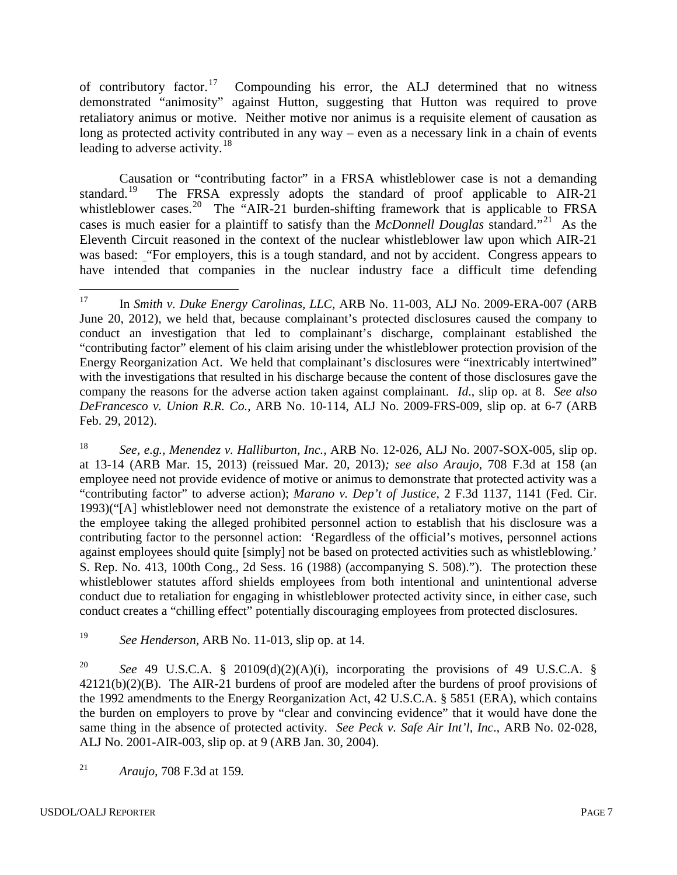of contributory factor.<sup>[17](#page-6-0)</sup> Compounding his error, the ALJ determined that no witness demonstrated "animosity" against Hutton, suggesting that Hutton was required to prove retaliatory animus or motive. Neither motive nor animus is a requisite element of causation as long as protected activity contributed in any way – even as a necessary link in a chain of events leading to adverse activity.<sup>[18](#page-6-1)</sup>

Causation or "contributing factor" in a FRSA whistleblower case is not a demanding standard.<sup>[19](#page-6-2)</sup> The FRSA expressly adopts the standard of proof applicable to AIR-21 whistleblower cases.<sup>20</sup> The "AIR-21 burden-shifting framework that is applicable to FRSA cases is much easier for a plaintiff to satisfy than the *McDonnell Douglas* standard."[21](#page-6-4) As the Eleventh Circuit reasoned in the context of the nuclear whistleblower law upon which AIR-21 was based: "For employers, this is a tough standard, and not by accident. Congress appears to have intended that companies in the nuclear industry face a difficult time defending

<span id="page-6-1"></span><sup>18</sup> *See, e.g., Menendez v. Halliburton, Inc.*, ARB No. 12-026, ALJ No. 2007-SOX-005, slip op. at 13-14 (ARB Mar. 15, 2013) (reissued Mar. 20, 2013)*; see also Araujo*, 708 F.3d at 158 (an employee need not provide evidence of motive or animus to demonstrate that protected activity was a "contributing factor" to adverse action); *Marano v. Dep't of Justice*, 2 F.3d 1137, 1141 (Fed. Cir. 1993)("[A] whistleblower need not demonstrate the existence of a retaliatory motive on the part of the employee taking the alleged prohibited personnel action to establish that his disclosure was a contributing factor to the personnel action: 'Regardless of the official's motives, personnel actions against employees should quite [simply] not be based on protected activities such as whistleblowing.' S. Rep. No. 413, 100th Cong., 2d Sess. 16 (1988) (accompanying S. 508)."). The protection these whistleblower statutes afford shields employees from both intentional and unintentional adverse conduct due to retaliation for engaging in whistleblower protected activity since, in either case, such conduct creates a "chilling effect" potentially discouraging employees from protected disclosures.

<span id="page-6-2"></span><sup>19</sup> *See Henderson,* ARB No. 11-013, slip op. at 14.

<span id="page-6-3"></span><sup>20</sup> *See* 49 U.S.C.A. § 20109(d)(2)(A)(i), incorporating the provisions of 49 U.S.C.A. § 42121(b)(2)(B). The AIR-21 burdens of proof are modeled after the burdens of proof provisions of the 1992 amendments to the Energy Reorganization Act, 42 U.S.C.A. § 5851 (ERA), which contains the burden on employers to prove by "clear and convincing evidence" that it would have done the same thing in the absence of protected activity. *See Peck v. Safe Air Int'l, Inc*., ARB No. 02-028, ALJ No. 2001-AIR-003, slip op. at 9 (ARB Jan. 30, 2004).

<span id="page-6-4"></span><sup>21</sup> *Araujo,* 708 F.3d at 159*.*

<span id="page-6-0"></span><sup>17</sup> In *Smith v. Duke Energy Carolinas, LLC,* ARB No. 11-003, ALJ No. 2009-ERA-007 (ARB June 20, 2012), we held that, because complainant's protected disclosures caused the company to conduct an investigation that led to complainant's discharge, complainant established the "contributing factor" element of his claim arising under the whistleblower protection provision of the Energy Reorganization Act. We held that complainant's disclosures were "inextricably intertwined" with the investigations that resulted in his discharge because the content of those disclosures gave the company the reasons for the adverse action taken against complainant. *Id*., slip op. at 8. *See also DeFrancesco v. Union R.R. Co.*, ARB No. 10-114, ALJ No. 2009-FRS-009, slip op. at 6-7 (ARB Feb. 29, 2012). 17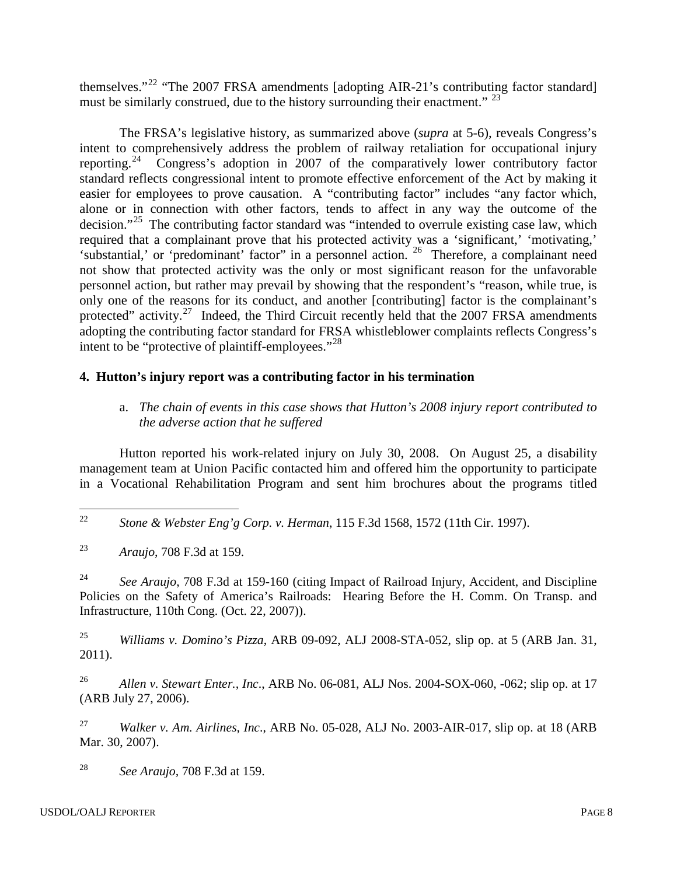themselves."[22](#page-7-0) "The 2007 FRSA amendments [adopting AIR-21's contributing factor standard] must be similarly construed, due to the history surrounding their enactment." <sup>[23](#page-7-1)</sup>

The FRSA's legislative history, as summarized above (*supra* at 5-6), reveals Congress's intent to comprehensively address the problem of railway retaliation for occupational injury reporting.<sup>[24](#page-7-2)</sup> Congress's adoption in 2007 of the comparatively lower contributory factor standard reflects congressional intent to promote effective enforcement of the Act by making it easier for employees to prove causation. A "contributing factor" includes "any factor which, alone or in connection with other factors, tends to affect in any way the outcome of the decision."[25](#page-7-3) The contributing factor standard was "intended to overrule existing case law, which required that a complainant prove that his protected activity was a 'significant,' 'motivating,' 'substantial,' or 'predominant' factor" in a personnel action. [26](#page-7-4) Therefore, a complainant need not show that protected activity was the only or most significant reason for the unfavorable personnel action, but rather may prevail by showing that the respondent's "reason, while true, is only one of the reasons for its conduct, and another [contributing] factor is the complainant's protected" activity.<sup>27</sup> Indeed, the Third Circuit recently held that the 2007 FRSA amendments adopting the contributing factor standard for FRSA whistleblower complaints reflects Congress's intent to be "protective of plaintiff-employees."<sup>[28](#page-7-6)</sup>

# **4. Hutton's injury report was a contributing factor in his termination**

a. *The chain of events in this case shows that Hutton's 2008 injury report contributed to the adverse action that he suffered* 

Hutton reported his work-related injury on July 30, 2008. On August 25, a disability management team at Union Pacific contacted him and offered him the opportunity to participate in a Vocational Rehabilitation Program and sent him brochures about the programs titled

<span id="page-7-0"></span><sup>22</sup> *Stone & Webster Eng'g Corp. v. Herman*, 115 F.3d 1568, 1572 (11th Cir. 1997). 22

<span id="page-7-1"></span><sup>23</sup> *Araujo*, 708 F.3d at 159.

<span id="page-7-2"></span><sup>24</sup> *See Araujo*, 708 F.3d at 159-160 (citing Impact of Railroad Injury, Accident, and Discipline Policies on the Safety of America's Railroads: Hearing Before the H. Comm. On Transp. and Infrastructure, 110th Cong. (Oct. 22, 2007)).

<span id="page-7-3"></span><sup>25</sup> *Williams v. Domino's Pizza*, ARB 09-092, ALJ 2008-STA-052, slip op. at 5 (ARB Jan. 31, 2011).

<span id="page-7-4"></span><sup>26</sup> *Allen v. Stewart Enter., Inc*., ARB No. 06-081, ALJ Nos. 2004-SOX-060, -062; slip op. at 17 (ARB July 27, 2006).

<span id="page-7-5"></span><sup>27</sup> *Walker v. Am. Airlines, Inc*., ARB No. 05-028, ALJ No. 2003-AIR-017, slip op. at 18 (ARB Mar. 30, 2007).

<span id="page-7-6"></span><sup>28</sup> *See Araujo,* 708 F.3d at 159.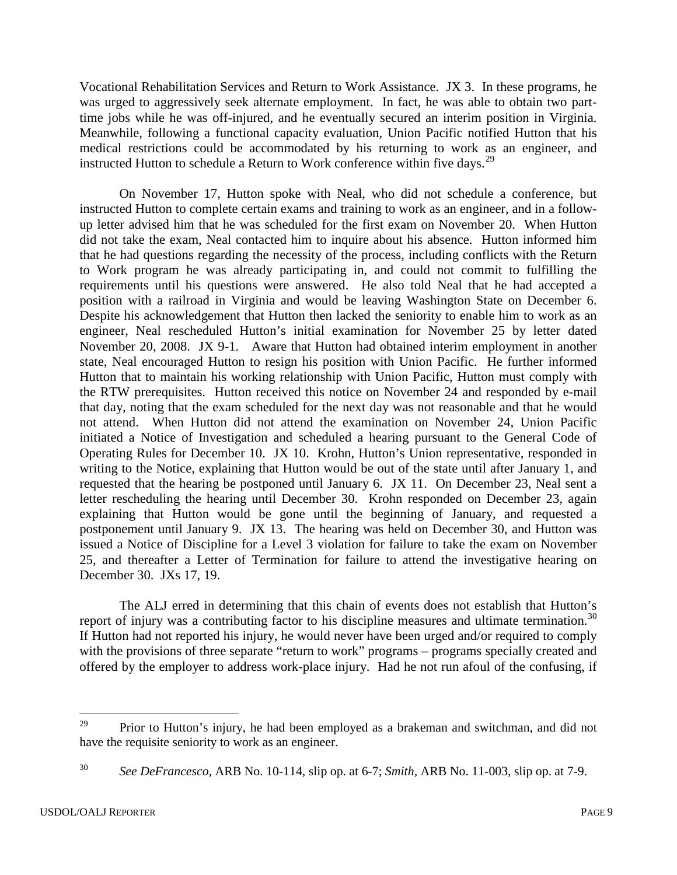Vocational Rehabilitation Services and Return to Work Assistance. JX 3. In these programs, he was urged to aggressively seek alternate employment. In fact, he was able to obtain two parttime jobs while he was off-injured, and he eventually secured an interim position in Virginia. Meanwhile, following a functional capacity evaluation, Union Pacific notified Hutton that his medical restrictions could be accommodated by his returning to work as an engineer, and instructed Hutton to schedule a Return to Work conference within five days.<sup>[29](#page-8-0)</sup>

On November 17, Hutton spoke with Neal, who did not schedule a conference, but instructed Hutton to complete certain exams and training to work as an engineer, and in a followup letter advised him that he was scheduled for the first exam on November 20. When Hutton did not take the exam, Neal contacted him to inquire about his absence. Hutton informed him that he had questions regarding the necessity of the process, including conflicts with the Return to Work program he was already participating in, and could not commit to fulfilling the requirements until his questions were answered. He also told Neal that he had accepted a position with a railroad in Virginia and would be leaving Washington State on December 6. Despite his acknowledgement that Hutton then lacked the seniority to enable him to work as an engineer, Neal rescheduled Hutton's initial examination for November 25 by letter dated November 20, 2008. JX 9-1. Aware that Hutton had obtained interim employment in another state, Neal encouraged Hutton to resign his position with Union Pacific. He further informed Hutton that to maintain his working relationship with Union Pacific, Hutton must comply with the RTW prerequisites. Hutton received this notice on November 24 and responded by e-mail that day, noting that the exam scheduled for the next day was not reasonable and that he would not attend. When Hutton did not attend the examination on November 24, Union Pacific initiated a Notice of Investigation and scheduled a hearing pursuant to the General Code of Operating Rules for December 10. JX 10. Krohn, Hutton's Union representative, responded in writing to the Notice, explaining that Hutton would be out of the state until after January 1, and requested that the hearing be postponed until January 6. JX 11. On December 23, Neal sent a letter rescheduling the hearing until December 30. Krohn responded on December 23, again explaining that Hutton would be gone until the beginning of January, and requested a postponement until January 9. JX 13. The hearing was held on December 30, and Hutton was issued a Notice of Discipline for a Level 3 violation for failure to take the exam on November 25, and thereafter a Letter of Termination for failure to attend the investigative hearing on December 30. JXs 17, 19.

The ALJ erred in determining that this chain of events does not establish that Hutton's report of injury was a contributing factor to his discipline measures and ultimate termination.<sup>[30](#page-9-0)</sup> If Hutton had not reported his injury, he would never have been urged and/or required to comply with the provisions of three separate "return to work" programs – programs specially created and offered by the employer to address work-place injury. Had he not run afoul of the confusing, if

Prior to Hutton's injury, he had been employed as a brakeman and switchman, and did not have the requisite seniority to work as an engineer. 29

<span id="page-8-0"></span><sup>30</sup> *See DeFrancesco,* ARB No. 10-114, slip op. at 6-7; *Smith,* ARB No. 11-003, slip op. at 7-9.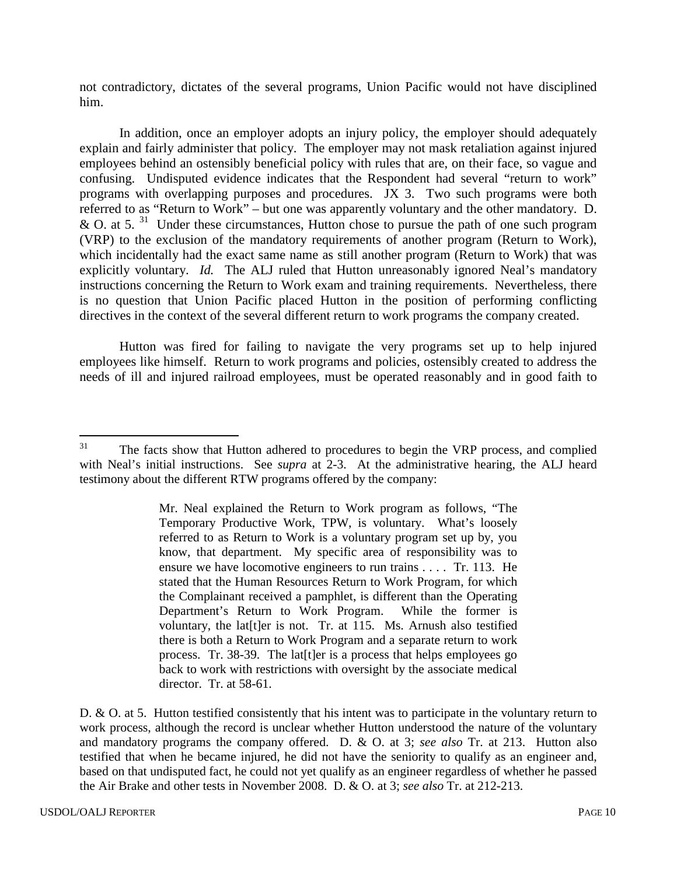not contradictory, dictates of the several programs, Union Pacific would not have disciplined him.

In addition, once an employer adopts an injury policy, the employer should adequately explain and fairly administer that policy. The employer may not mask retaliation against injured employees behind an ostensibly beneficial policy with rules that are, on their face, so vague and confusing. Undisputed evidence indicates that the Respondent had several "return to work" programs with overlapping purposes and procedures. JX 3. Two such programs were both referred to as "Return to Work" – but one was apparently voluntary and the other mandatory. D. & O. at 5.  $31$  Under these circumstances, Hutton chose to pursue the path of one such program (VRP) to the exclusion of the mandatory requirements of another program (Return to Work), which incidentally had the exact same name as still another program (Return to Work) that was explicitly voluntary. *Id.* The ALJ ruled that Hutton unreasonably ignored Neal's mandatory instructions concerning the Return to Work exam and training requirements. Nevertheless, there is no question that Union Pacific placed Hutton in the position of performing conflicting directives in the context of the several different return to work programs the company created.

Hutton was fired for failing to navigate the very programs set up to help injured employees like himself. Return to work programs and policies, ostensibly created to address the needs of ill and injured railroad employees, must be operated reasonably and in good faith to

D. & O. at 5. Hutton testified consistently that his intent was to participate in the voluntary return to work process, although the record is unclear whether Hutton understood the nature of the voluntary and mandatory programs the company offered. D. & O. at 3; *see also* Tr. at 213. Hutton also testified that when he became injured, he did not have the seniority to qualify as an engineer and, based on that undisputed fact, he could not yet qualify as an engineer regardless of whether he passed the Air Brake and other tests in November 2008. D. & O. at 3; *see also* Tr. at 212-213.

<span id="page-9-1"></span><span id="page-9-0"></span>The facts show that Hutton adhered to procedures to begin the VRP process, and complied with Neal's initial instructions. See *supra* at 2-3. At the administrative hearing, the ALJ heard testimony about the different RTW programs offered by the company: 31

Mr. Neal explained the Return to Work program as follows, "The Temporary Productive Work, TPW, is voluntary. What's loosely referred to as Return to Work is a voluntary program set up by, you know, that department. My specific area of responsibility was to ensure we have locomotive engineers to run trains . . . . Tr. 113. He stated that the Human Resources Return to Work Program, for which the Complainant received a pamphlet, is different than the Operating Department's Return to Work Program. While the former is voluntary, the lat[t]er is not. Tr. at 115. Ms. Arnush also testified there is both a Return to Work Program and a separate return to work process. Tr. 38-39. The lat[t]er is a process that helps employees go back to work with restrictions with oversight by the associate medical director. Tr. at 58-61.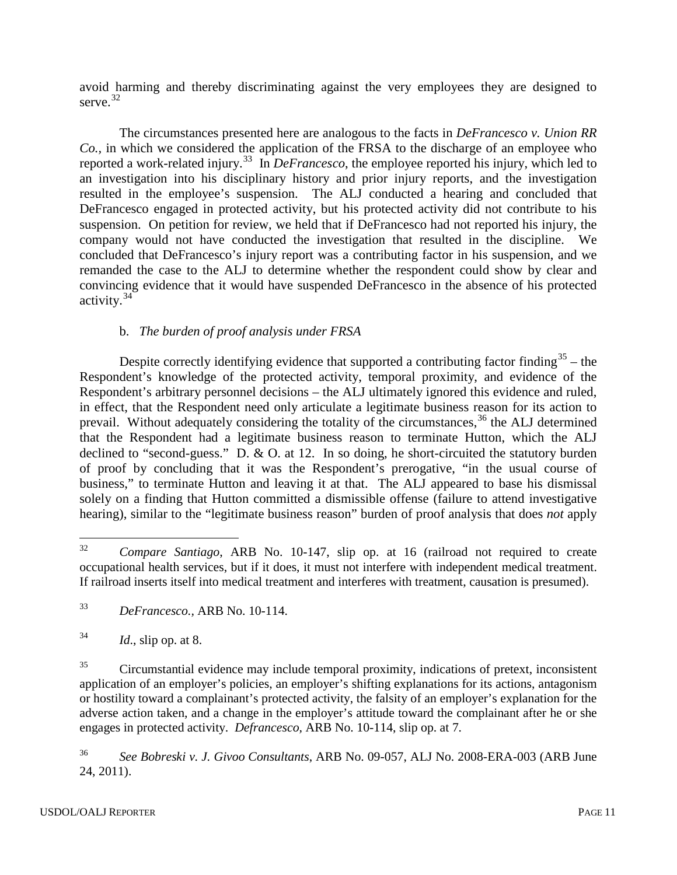avoid harming and thereby discriminating against the very employees they are designed to serve.<sup>32</sup>

The circumstances presented here are analogous to the facts in *DeFrancesco v. Union RR Co.,* in which we considered the application of the FRSA to the discharge of an employee who reported a work-related injury.<sup>[33](#page-10-1)</sup> In *DeFrancesco*, the employee reported his injury, which led to an investigation into his disciplinary history and prior injury reports, and the investigation resulted in the employee's suspension. The ALJ conducted a hearing and concluded that DeFrancesco engaged in protected activity, but his protected activity did not contribute to his suspension. On petition for review, we held that if DeFrancesco had not reported his injury, the company would not have conducted the investigation that resulted in the discipline. We concluded that DeFrancesco's injury report was a contributing factor in his suspension, and we remanded the case to the ALJ to determine whether the respondent could show by clear and convincing evidence that it would have suspended DeFrancesco in the absence of his protected activity.[34](#page-10-2)

# b. *The burden of proof analysis under FRSA*

Despite correctly identifying evidence that supported a contributing factor finding  $35$  – the Respondent's knowledge of the protected activity, temporal proximity, and evidence of the Respondent's arbitrary personnel decisions – the ALJ ultimately ignored this evidence and ruled, in effect, that the Respondent need only articulate a legitimate business reason for its action to prevail. Without adequately considering the totality of the circumstances,<sup>[36](#page-10-4)</sup> the ALJ determined that the Respondent had a legitimate business reason to terminate Hutton, which the ALJ declined to "second-guess." D. & O. at 12. In so doing, he short-circuited the statutory burden of proof by concluding that it was the Respondent's prerogative, "in the usual course of business," to terminate Hutton and leaving it at that. The ALJ appeared to base his dismissal solely on a finding that Hutton committed a dismissible offense (failure to attend investigative hearing), similar to the "legitimate business reason" burden of proof analysis that does *not* apply

<span id="page-10-4"></span><sup>36</sup> *See Bobreski v. J. Givoo Consultants*, ARB No. 09-057, ALJ No. 2008-ERA-003 (ARB June 24, 2011).

<span id="page-10-0"></span><sup>32</sup> *Compare Santiago*, ARB No. 10-147, slip op. at 16 (railroad not required to create occupational health services, but if it does, it must not interfere with independent medical treatment. If railroad inserts itself into medical treatment and interferes with treatment, causation is presumed). 32

<span id="page-10-1"></span><sup>33</sup> *DeFrancesco.,* ARB No. 10-114.

<span id="page-10-2"></span> $^{34}$  *Id.*, slip op. at 8.

<span id="page-10-3"></span><sup>&</sup>lt;sup>35</sup> Circumstantial evidence may include temporal proximity, indications of pretext, inconsistent application of an employer's policies, an employer's shifting explanations for its actions, antagonism or hostility toward a complainant's protected activity, the falsity of an employer's explanation for the adverse action taken, and a change in the employer's attitude toward the complainant after he or she engages in protected activity. *Defrancesco,* ARB No. 10-114, slip op. at 7.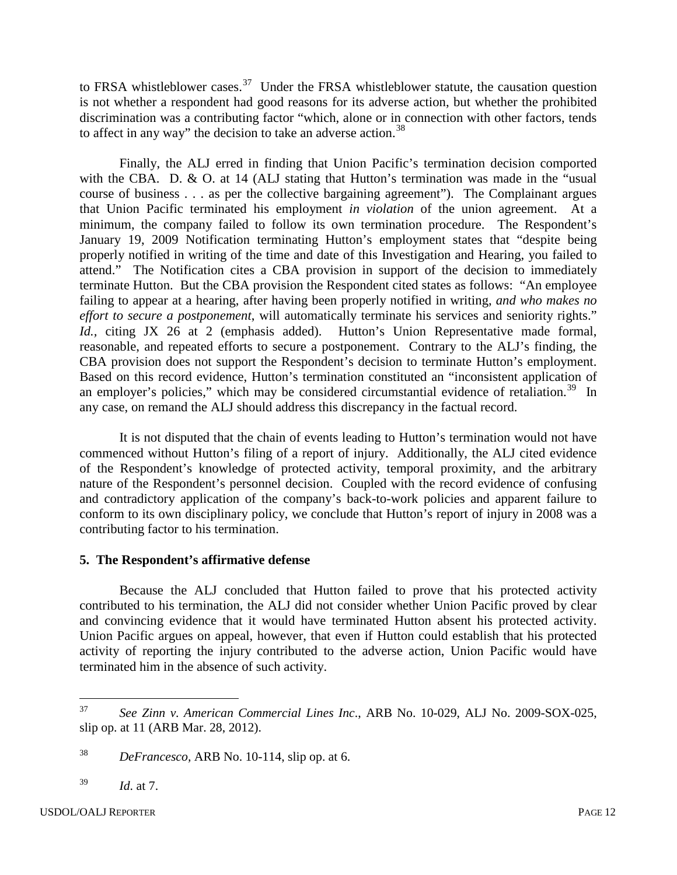to FRSA whistleblower cases.<sup>[37](#page-11-0)</sup> Under the FRSA whistleblower statute, the causation question is not whether a respondent had good reasons for its adverse action, but whether the prohibited discrimination was a contributing factor "which, alone or in connection with other factors, tends to affect in any way" the decision to take an adverse action.<sup>[38](#page-11-1)</sup>

Finally, the ALJ erred in finding that Union Pacific's termination decision comported with the CBA. D. & O. at 14 (ALJ stating that Hutton's termination was made in the "usual" course of business . . . as per the collective bargaining agreement"). The Complainant argues that Union Pacific terminated his employment *in violation* of the union agreement. At a minimum, the company failed to follow its own termination procedure. The Respondent's January 19, 2009 Notification terminating Hutton's employment states that "despite being properly notified in writing of the time and date of this Investigation and Hearing, you failed to attend." The Notification cites a CBA provision in support of the decision to immediately terminate Hutton. But the CBA provision the Respondent cited states as follows: "An employee failing to appear at a hearing, after having been properly notified in writing, *and who makes no effort to secure a postponement*, will automatically terminate his services and seniority rights." *Id.,* citing JX 26 at 2 (emphasis added). Hutton's Union Representative made formal, reasonable, and repeated efforts to secure a postponement. Contrary to the ALJ's finding, the CBA provision does not support the Respondent's decision to terminate Hutton's employment. Based on this record evidence, Hutton's termination constituted an "inconsistent application of an employer's policies," which may be considered circumstantial evidence of retaliation. $39$  In any case, on remand the ALJ should address this discrepancy in the factual record.

It is not disputed that the chain of events leading to Hutton's termination would not have commenced without Hutton's filing of a report of injury. Additionally, the ALJ cited evidence of the Respondent's knowledge of protected activity, temporal proximity, and the arbitrary nature of the Respondent's personnel decision. Coupled with the record evidence of confusing and contradictory application of the company's back-to-work policies and apparent failure to conform to its own disciplinary policy, we conclude that Hutton's report of injury in 2008 was a contributing factor to his termination.

## **5. The Respondent's affirmative defense**

Because the ALJ concluded that Hutton failed to prove that his protected activity contributed to his termination, the ALJ did not consider whether Union Pacific proved by clear and convincing evidence that it would have terminated Hutton absent his protected activity. Union Pacific argues on appeal, however, that even if Hutton could establish that his protected activity of reporting the injury contributed to the adverse action, Union Pacific would have terminated him in the absence of such activity.

<span id="page-11-0"></span><sup>37</sup> *See Zinn v. American Commercial Lines Inc*., ARB No. 10-029, ALJ No. 2009-SOX-025, slip op. at 11 (ARB Mar. 28, 2012). 37

<span id="page-11-1"></span><sup>38</sup> *DeFrancesco,* ARB No. 10-114, slip op. at 6.

<span id="page-11-2"></span><sup>39</sup> *Id*. at 7.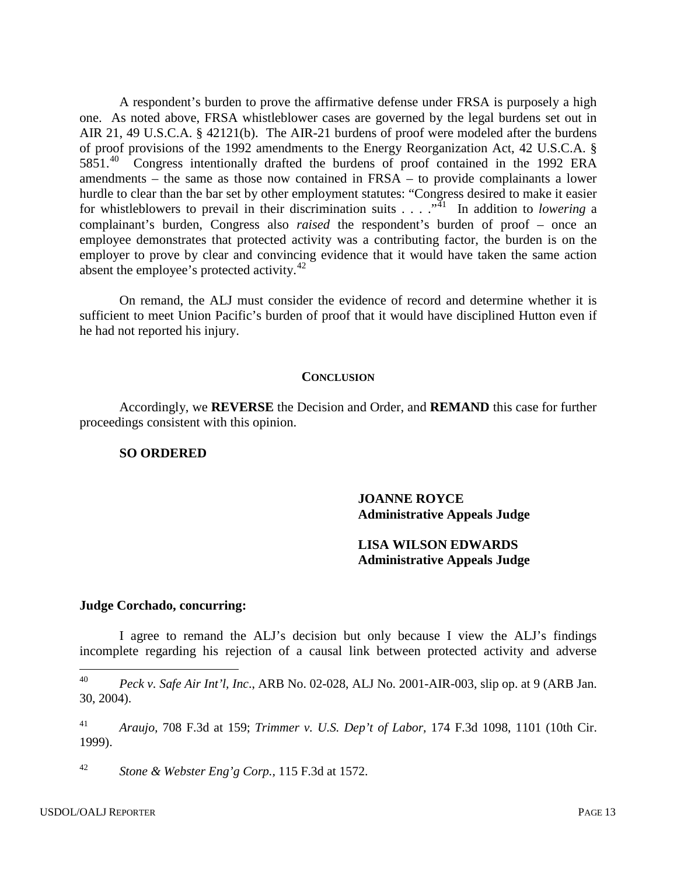A respondent's burden to prove the affirmative defense under FRSA is purposely a high one. As noted above, FRSA whistleblower cases are governed by the legal burdens set out in AIR 21, 49 U.S.C.A. § 42121(b). The AIR-21 burdens of proof were modeled after the burdens of proof provisions of the 1992 amendments to the Energy Reorganization Act, 42 U.S.C.A. § 5851.<sup>40</sup> Congress intentionally drafted the burdens of proof contained in the 1992 ERA amendments – the same as those now contained in FRSA – to provide complainants a lower hurdle to clear than the bar set by other employment statutes: "Congress desired to make it easier for whistleblowers to prevail in their discrimination suits . . . .<sup>.41</sup> In addition to *lowering* a complainant's burden, Congress also *raised* the respondent's burden of proof – once an employee demonstrates that protected activity was a contributing factor, the burden is on the employer to prove by clear and convincing evidence that it would have taken the same action absent the employee's protected activity.<sup>42</sup>

On remand, the ALJ must consider the evidence of record and determine whether it is sufficient to meet Union Pacific's burden of proof that it would have disciplined Hutton even if he had not reported his injury.

#### **CONCLUSION**

Accordingly, we **REVERSE** the Decision and Order, and **REMAND** this case for further proceedings consistent with this opinion.

#### **SO ORDERED**

### **JOANNE ROYCE Administrative Appeals Judge**

### **LISA WILSON EDWARDS Administrative Appeals Judge**

#### **Judge Corchado, concurring:**

I agree to remand the ALJ's decision but only because I view the ALJ's findings incomplete regarding his rejection of a causal link between protected activity and adverse

<span id="page-12-1"></span><sup>41</sup> *Araujo,* 708 F.3d at 159; *[Trimmer v. U.S. Dep't of Labor,](http://www.westlaw.com/Find/Default.wl?rs=dfa1.0&vr=2.0&DB=506&FindType=Y&ReferencePositionType=S&SerialNum=1999096951&ReferencePosition=1101)* 174 F.3d 1098, 1101 (10th Cir. 1999).

<span id="page-12-2"></span><sup>42</sup> *Stone & Webster Eng'g Corp.,* 115 F.3d at 1572.

<span id="page-12-0"></span><sup>40</sup> *Peck v. Safe Air Int'l, Inc*., ARB No. 02-028, ALJ No. 2001-AIR-003, slip op. at 9 (ARB Jan. 30, 2004).  $40\,$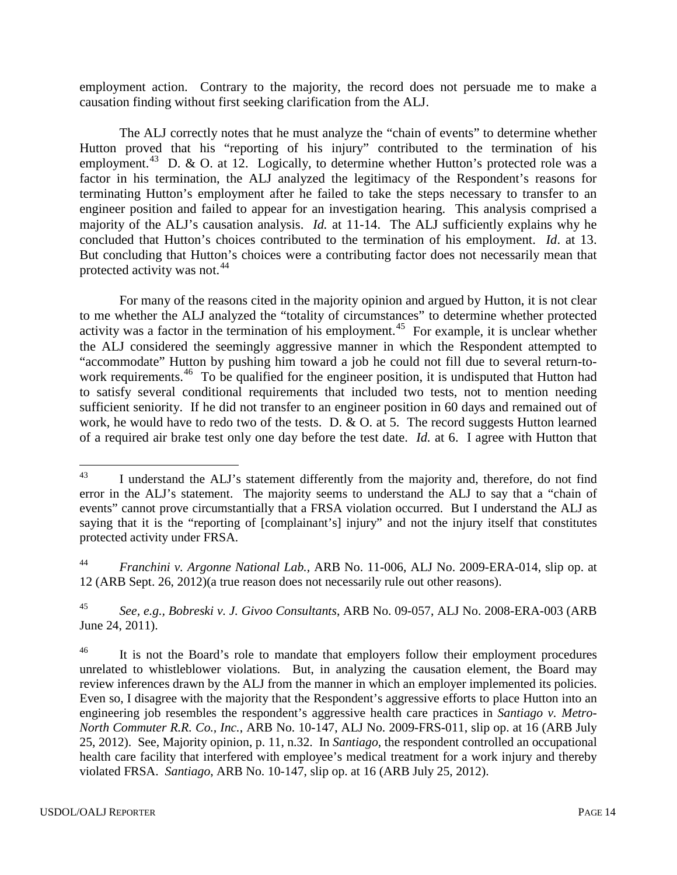employment action. Contrary to the majority, the record does not persuade me to make a causation finding without first seeking clarification from the ALJ.

The ALJ correctly notes that he must analyze the "chain of events" to determine whether Hutton proved that his "reporting of his injury" contributed to the termination of his employment.<sup>43</sup> D. & O. at 12. Logically, to determine whether Hutton's protected role was a factor in his termination, the ALJ analyzed the legitimacy of the Respondent's reasons for terminating Hutton's employment after he failed to take the steps necessary to transfer to an engineer position and failed to appear for an investigation hearing. This analysis comprised a majority of the ALJ's causation analysis. *Id.* at 11-14. The ALJ sufficiently explains why he concluded that Hutton's choices contributed to the termination of his employment. *Id*. at 13. But concluding that Hutton's choices were a contributing factor does not necessarily mean that protected activity was not.<sup>[44](#page-13-1)</sup>

For many of the reasons cited in the majority opinion and argued by Hutton, it is not clear to me whether the ALJ analyzed the "totality of circumstances" to determine whether protected activity was a factor in the termination of his employment.<sup>45</sup> For example, it is unclear whether the ALJ considered the seemingly aggressive manner in which the Respondent attempted to "accommodate" Hutton by pushing him toward a job he could not fill due to several return-towork requirements.<sup>46</sup> To be qualified for the engineer position, it is undisputed that Hutton had to satisfy several conditional requirements that included two tests, not to mention needing sufficient seniority. If he did not transfer to an engineer position in 60 days and remained out of work, he would have to redo two of the tests. D. & O. at 5. The record suggests Hutton learned of a required air brake test only one day before the test date. *Id.* at 6. I agree with Hutton that

I understand the ALJ's statement differently from the majority and, therefore, do not find error in the ALJ's statement. The majority seems to understand the ALJ to say that a "chain of events" cannot prove circumstantially that a FRSA violation occurred. But I understand the ALJ as saying that it is the "reporting of [complainant's] injury" and not the injury itself that constitutes protected activity under FRSA. 43

<sup>44</sup> *Franchini v. Argonne National Lab.,* ARB No. 11-006, ALJ No. 2009-ERA-014, slip op. at 12 (ARB Sept. 26, 2012)(a true reason does not necessarily rule out other reasons).

<sup>45</sup> *See, e.g., Bobreski v. J. Givoo Consultants*, ARB No. 09-057, ALJ No. 2008-ERA-003 (ARB June 24, 2011).

<span id="page-13-1"></span><span id="page-13-0"></span><sup>&</sup>lt;sup>46</sup> It is not the Board's role to mandate that employers follow their employment procedures unrelated to whistleblower violations. But, in analyzing the causation element, the Board may review inferences drawn by the ALJ from the manner in which an employer implemented its policies. Even so, I disagree with the majority that the Respondent's aggressive efforts to place Hutton into an engineering job resembles the respondent's aggressive health care practices in *Santiago v. Metro-North Commuter R.R. Co., Inc.*, ARB No. 10-147, ALJ No. 2009-FRS-011, slip op. at 16 (ARB July 25, 2012). See, Majority opinion, p. 11, n.32. In *Santiago*, the respondent controlled an occupational health care facility that interfered with employee's medical treatment for a work injury and thereby violated FRSA. *Santiago*, ARB No. 10-147, slip op. at 16 (ARB July 25, 2012).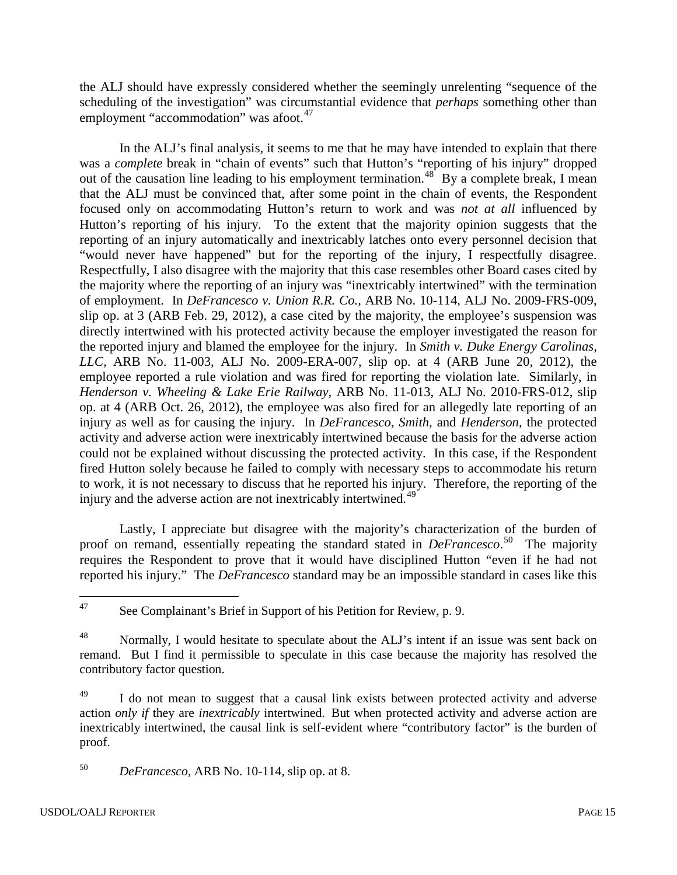the ALJ should have expressly considered whether the seemingly unrelenting "sequence of the scheduling of the investigation" was circumstantial evidence that *perhaps* something other than employment "accommodation" was afoot.<sup>[47](#page-14-2)</sup>

In the ALJ's final analysis, it seems to me that he may have intended to explain that there was a *complete* break in "chain of events" such that Hutton's "reporting of his injury" dropped out of the causation line leading to his employment termination.<sup>48</sup> By a complete break, I mean that the ALJ must be convinced that, after some point in the chain of events, the Respondent focused only on accommodating Hutton's return to work and was *not at all* influenced by Hutton's reporting of his injury. To the extent that the majority opinion suggests that the reporting of an injury automatically and inextricably latches onto every personnel decision that "would never have happened" but for the reporting of the injury, I respectfully disagree. Respectfully, I also disagree with the majority that this case resembles other Board cases cited by the majority where the reporting of an injury was "inextricably intertwined" with the termination of employment. In *DeFrancesco v. Union R.R. Co.,* ARB No. 10-114, ALJ No. 2009-FRS-009, slip op. at 3 (ARB Feb. 29, 2012), a case cited by the majority, the employee's suspension was directly intertwined with his protected activity because the employer investigated the reason for the reported injury and blamed the employee for the injury. In *Smith v. Duke Energy Carolinas, LLC,* ARB No. 11-003, ALJ No. 2009-ERA-007, slip op. at 4 (ARB June 20, 2012), the employee reported a rule violation and was fired for reporting the violation late. Similarly, in *Henderson v. Wheeling & Lake Erie Railway*, ARB No. 11-013, ALJ No. 2010-FRS-012, slip op. at 4 (ARB Oct. 26, 2012), the employee was also fired for an allegedly late reporting of an injury as well as for causing the injury. In *DeFrancesco*, *Smith,* and *Henderson*, the protected activity and adverse action were inextricably intertwined because the basis for the adverse action could not be explained without discussing the protected activity. In this case, if the Respondent fired Hutton solely because he failed to comply with necessary steps to accommodate his return to work, it is not necessary to discuss that he reported his injury. Therefore, the reporting of the injury and the adverse action are not inextricably intertwined.<sup>[49](#page-15-0)</sup>

<span id="page-14-1"></span><span id="page-14-0"></span>Lastly, I appreciate but disagree with the majority's characterization of the burden of proof on remand, essentially repeating the standard stated in *DeFrancesco*. [50](#page-15-1) The majority requires the Respondent to prove that it would have disciplined Hutton "even if he had not reported his injury." The *DeFrancesco* standard may be an impossible standard in cases like this

See Complainant's Brief in Support of his Petition for Review, p. 9. 47

<sup>&</sup>lt;sup>48</sup> Normally, I would hesitate to speculate about the ALJ's intent if an issue was sent back on remand. But I find it permissible to speculate in this case because the majority has resolved the contributory factor question.

<span id="page-14-2"></span><sup>&</sup>lt;sup>49</sup> I do not mean to suggest that a causal link exists between protected activity and adverse action *only if* they are *inextricably* intertwined. But when protected activity and adverse action are inextricably intertwined, the causal link is self-evident where "contributory factor" is the burden of proof.

<span id="page-14-3"></span><sup>50</sup> *DeFrancesco*, ARB No. 10-114, slip op. at 8.